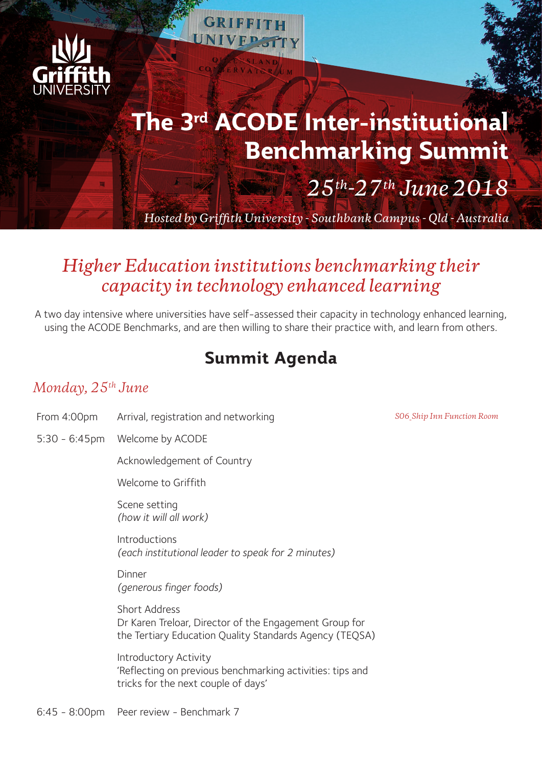

# **The 3rd ACODE Inter-institutional Benchmarking Summit**

*25th-27th June 2018*

*Hosted by Griffith University - Southbank Campus - Qld - Australia*

## *Higher Education institutions benchmarking their capacity in technology enhanced learning*

A two day intensive where universities have self-assessed their capacity in technology enhanced learning, using the ACODE Benchmarks, and are then willing to share their practice with, and learn from others.

## **Summit Agenda**

#### *Monday, 25th June*

- From 4:00pm Arrival, registration and networking *S06\_Ship Inn Function Room*
- 5:30 6:45pm Welcome by ACODE

Acknowledgement of Country

Welcome to Griffith

Scene setting *(how it will all work)*

Introductions *(each institutional leader to speak for 2 minutes)*

Dinner *(generous finger foods)*

Short Address Dr Karen Treloar, Director of the Engagement Group for the Tertiary Education Quality Standards Agency (TEQSA)

Introductory Activity 'Reflecting on previous benchmarking activities: tips and tricks for the next couple of days'

6:45 - 8:00pm Peer review - Benchmark 7